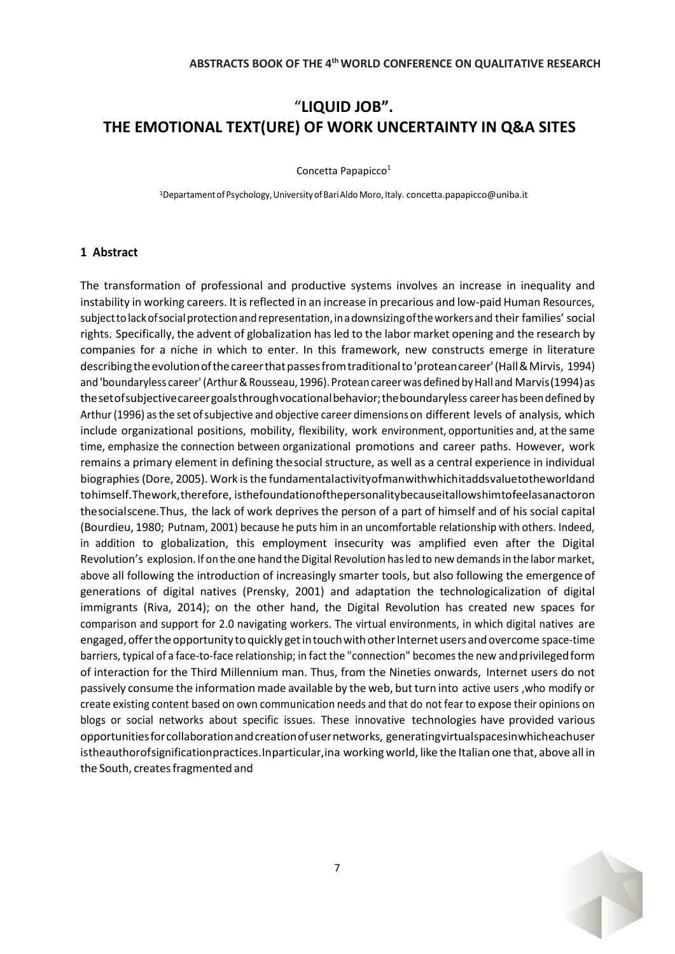## "**LIQUID JOB". THE EMOTIONAL TEXT(URE) OF WORK UNCERTAINTY IN Q&A SITES**

Concetta Papapicco 1

<sup>1</sup>Departamentof Psychology,UniversityofBariAldoMoro, Italy[. concetta.papapicco@uniba.it](mailto:concetta.papapicco@uniba.it)

## **1 Abstract**

The transformation of professional and productive systems involves an increase in inequality and instability in working careers. It is reflected in an increase in precarious and low-paid Human Resources, subjecttolackofsocialprotectionandrepresentation, inadownsizingoftheworkersand their families' social rights. Specifically, the advent of globalization has led to the labor market opening and the research by companies for a niche in which to enter. In this framework, new constructs emerge in literature describing the evolution of the career that passes from traditional to 'protean career' (Hall & Mirvis, 1994) and 'boundaryless career' (Arthur & Rousseau, 1996). Protean career was defined by Hall and Marvis (1994) as thesetofsubjectivecareergoalsthroughvocationalbehavior;theboundaryless careerhas beendefined by Arthur (1996) as the set of subjective and objective career dimensions on different levels of analysis, which include organizational positions, mobility, flexibility, work environment, opportunities and, at the same time, emphasize the connection between organizational promotions and career paths. However, work remains a primary element in defining thesocial structure, as well as a central experience in individual biographies (Dore, 2005). Work is the fundamentalactivityofmanwithwhichitaddsvaluetotheworldand tohimself.Thework,therefore, isthefoundationofthepersonalitybecauseitallowshimtofeelasanactoron thesocialscene.Thus, the lack of work deprives the person of a part of himself and of his social capital (Bourdieu, 1980; Putnam, 2001) because he puts him in an uncomfortable relationship with others. Indeed, in addition to globalization, this employment insecurity was amplified even after the Digital Revolution's explosion. If onthe one hand the Digital Revolution hasled to new demandsin the labor market, above all following the introduction of increasingly smarter tools, but also following the emergence of generations of digital natives (Prensky, 2001) and adaptation the technologicalization of digital immigrants (Riva, 2014); on the other hand, the Digital Revolution has created new spaces for comparison and support for 2.0 navigating workers. The virtual environments, in which digital natives are engaged, offer the opportunity to quickly get in touch with other Internet users and overcome space-time barriers, typical of a face-to-face relationship; in fact the "connection" becomes the new and privileged form of interaction for the Third Millennium man. Thus, from the Nineties onwards, Internet users do not passively consume the information made available by the web, but turn into active users, who modify or create existing content based on own communication needs and that do not fear to expose their opinions on blogs or social networks about specific issues. These innovative technologies have provided various opportunitiesforcollaborationandcreationofusernetworks, generatingvirtualspacesinwhicheachuser istheauthorofsignificationpractices.Inparticular,ina working world, like the Italian one that, above all in the South, creates fragmented and

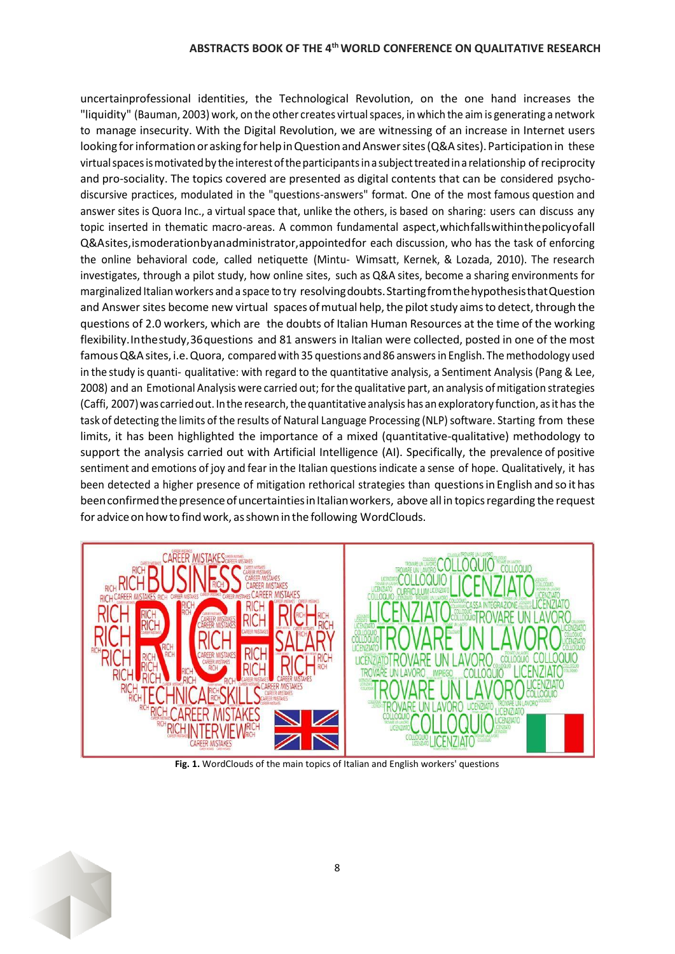## **ABSTRACTS BOOK OF THE 4thWORLD CONFERENCE ON QUALITATIVE RESEARCH**

uncertainprofessional identities, the Technological Revolution, on the one hand increases the "liquidity" (Bauman, 2003) work, on the other creates virtualspaces, in which the aimis generating a network to manage insecurity. With the Digital Revolution, we are witnessing of an increase in Internet users looking for information or asking for help in Question and Answer sites (Q&A sites). Participation in these virtual spaces is motivated by the interest of the participants in a subject treated in a relationship of reciprocity and pro-sociality. The topics covered are presented as digital contents that can be considered psychodiscursive practices, modulated in the "questions-answers" format. One of the most famous question and answer sites is Quora Inc., a virtual space that, unlike the others, is based on sharing: users can discuss any topic inserted in thematic macro-areas. A common fundamental aspect,whichfallswithinthepolicyofall Q&Asites,ismoderationbyanadministrator,appointedfor each discussion, who has the task of enforcing the online behavioral code, called netiquette (Mintu- Wimsatt, Kernek, & Lozada, 2010). The research investigates, through a pilot study, how online sites, such as Q&A sites, become a sharing environments for marginalized Italianworkers and a space to try resolvingdoubts.StartingfromthehypothesisthatQuestion and Answer sites become new virtual spaces of mutual help, the pilot study aims to detect, through the questions of 2.0 workers, which are the doubts of Italian Human Resources at the time of the working flexibility.Inthestudy,36questions and 81 answers in Italian were collected, posted in one of the most famous Q&A sites, i.e. Quora, compared with 35 questions and 86 answers in English. The methodology used in the study is quanti- qualitative: with regard to the quantitative analysis, a Sentiment Analysis (Pang & Lee, 2008) and an Emotional Analysis were carried out; forthe qualitative part, an analysis ofmitigation strategies (Caffi, 2007) was carried out. In the research, the quantitative analysis has an exploratory function, as it has the task of detecting the limits of the results of Natural Language Processing (NLP) software. Starting from these limits, it has been highlighted the importance of a mixed (quantitative-qualitative) methodology to support the analysis carried out with Artificial Intelligence (AI). Specifically, the prevalence of positive sentiment and emotions of joy and fear in the Italian questions indicate a sense of hope. Qualitatively, it has been detected a higher presence of mitigation rethorical strategies than questionsin English and so it has been confirmed the presence of uncertainties in Italian workers, above all in topics regarding the request for advice on how to find work, as shown in the following WordClouds.



**Fig. 1.** WordClouds of the main topics of Italian and English workers' questions

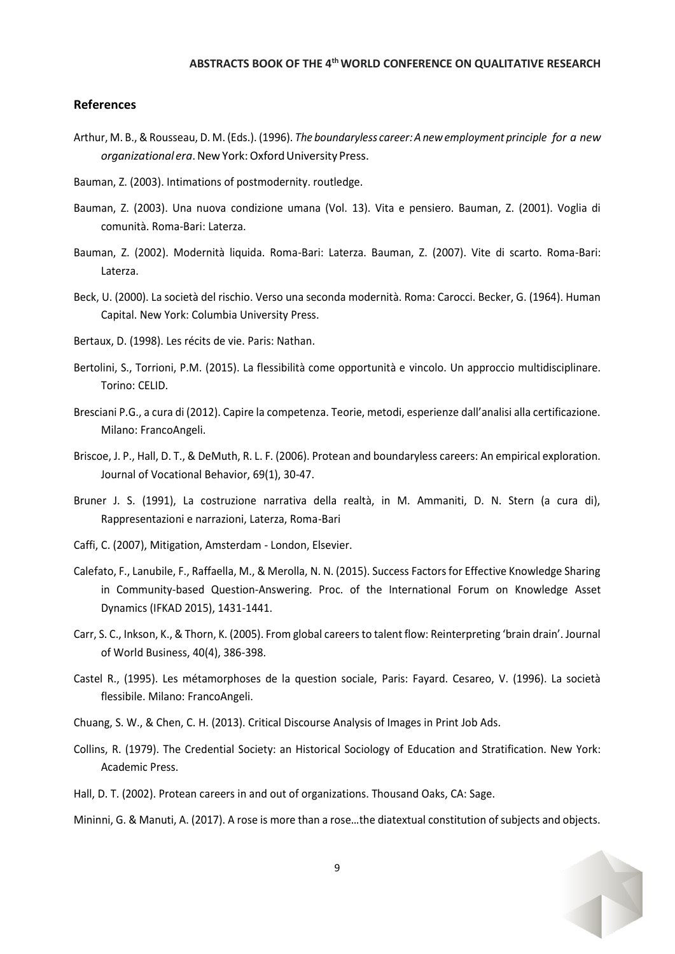## **References**

- Arthur, M. B., & Rousseau, D. M. (Eds.). (1996). *The boundaryless career:A newemployment principle for a new organizationalera*.New York:OxfordUniversity Press.
- Bauman, Z. (2003). Intimations of postmodernity. routledge.
- Bauman, Z. (2003). Una nuova condizione umana (Vol. 13). Vita e pensiero. Bauman, Z. (2001). Voglia di comunità. Roma-Bari: Laterza.
- Bauman, Z. (2002). Modernità liquida. Roma-Bari: Laterza. Bauman, Z. (2007). Vite di scarto. Roma-Bari: Laterza.
- Beck, U. (2000). La società del rischio. Verso una seconda modernità. Roma: Carocci. Becker, G. (1964). Human Capital. New York: Columbia University Press.
- Bertaux, D. (1998). Les récits de vie. Paris: Nathan.
- Bertolini, S., Torrioni, P.M. (2015). La flessibilità come opportunità e vincolo. Un approccio multidisciplinare. Torino: CELID.
- Bresciani P.G., a cura di (2012). Capire la competenza. Teorie, metodi, esperienze dall'analisi alla certificazione. Milano: FrancoAngeli.
- Briscoe, J. P., Hall, D. T., & DeMuth, R. L. F. (2006). Protean and boundaryless careers: An empirical exploration. Journal of Vocational Behavior, 69(1), 30-47.
- Bruner J. S. (1991), La costruzione narrativa della realtà, in M. Ammaniti, D. N. Stern (a cura di), Rappresentazioni e narrazioni, Laterza, Roma-Bari
- Caffi, C. (2007), Mitigation, Amsterdam London, Elsevier.
- Calefato, F., Lanubile, F., Raffaella, M., & Merolla, N. N. (2015). Success Factors for Effective Knowledge Sharing in Community-based Question-Answering. Proc. of the International Forum on Knowledge Asset Dynamics (IFKAD 2015), 1431-1441.
- Carr, S. C., Inkson, K., & Thorn, K. (2005). From global careers to talent flow: Reinterpreting 'brain drain'. Journal of World Business, 40(4), 386-398.
- Castel R., (1995). Les métamorphoses de la question sociale, Paris: Fayard. Cesareo, V. (1996). La società flessibile. Milano: FrancoAngeli.
- Chuang, S. W., & Chen, C. H. (2013). Critical Discourse Analysis of Images in Print Job Ads.
- Collins, R. (1979). The Credential Society: an Historical Sociology of Education and Stratification. New York: Academic Press.
- Hall, D. T. (2002). Protean careers in and out of organizations. Thousand Oaks, CA: Sage.
- Mininni, G. & Manuti, A. (2017). A rose is more than a rose…the diatextual constitution of subjects and objects.